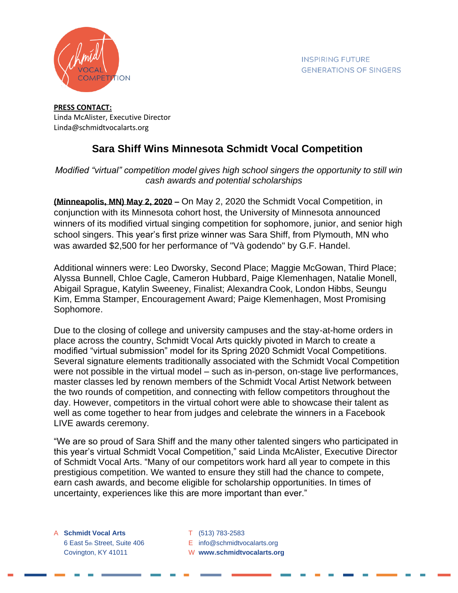

## **PRESS CONTACT:** Linda McAlister, Executive Director Linda@schmidtvocalarts.org

## **Sara Shiff Wins Minnesota Schmidt Vocal Competition**

## *Modified "virtual" competition model gives high school singers the opportunity to still win cash awards and potential scholarships*

**(Minneapolis, MN) May 2, 2020 –** On May 2, 2020 the Schmidt Vocal Competition, in conjunction with its Minnesota cohort host, the University of Minnesota announced winners of its modified virtual singing competition for sophomore, junior, and senior high school singers. This year's first prize winner was Sara Shiff, from Plymouth, MN who was awarded \$2,500 for her performance of "Và godendo" by G.F. Handel.

Additional winners were: Leo Dworsky, Second Place; Maggie McGowan, Third Place; Alyssa Bunnell, Chloe Cagle, Cameron Hubbard, Paige Klemenhagen, Natalie Monell, Abigail Sprague, Katylin Sweeney, Finalist; Alexandra Cook, London Hibbs, Seungu Kim, Emma Stamper, Encouragement Award; Paige Klemenhagen, Most Promising Sophomore.

Due to the closing of college and university campuses and the stay-at-home orders in place across the country, Schmidt Vocal Arts quickly pivoted in March to create a modified "virtual submission" model for its Spring 2020 Schmidt Vocal Competitions. Several signature elements traditionally associated with the Schmidt Vocal Competition were not possible in the virtual model – such as in-person, on-stage live performances, master classes led by renown members of the Schmidt Vocal Artist Network between the two rounds of competition, and connecting with fellow competitors throughout the day. However, competitors in the virtual cohort were able to showcase their talent as well as come together to hear from judges and celebrate the winners in a Facebook LIVE awards ceremony.

"We are so proud of Sara Shiff and the many other talented singers who participated in this year's virtual Schmidt Vocal Competition," said Linda McAlister, Executive Director of Schmidt Vocal Arts. "Many of our competitors work hard all year to compete in this prestigious competition. We wanted to ensure they still had the chance to compete, earn cash awards, and become eligible for scholarship opportunities. In times of uncertainty, experiences like this are more important than ever."

- A **Schmidt Vocal Arts** T (513) 783-2583
	- 6 East 5th Street, Suite 406 E info@schmidtvocalarts.org
	- Covington, KY 41011 W **www.schmidtvocalarts.org**